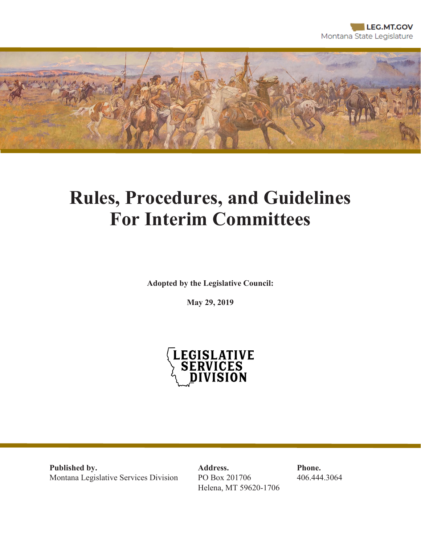

# **Rules, Procedures, and Guidelines For Interim Committees**

**Adopted by the Legislative Council:**

**May 29, 2019**



**Published by. Address. Phone.** Montana Legislative Services Division PO Box 201706 406.444.3064

Helena, MT 59620-1706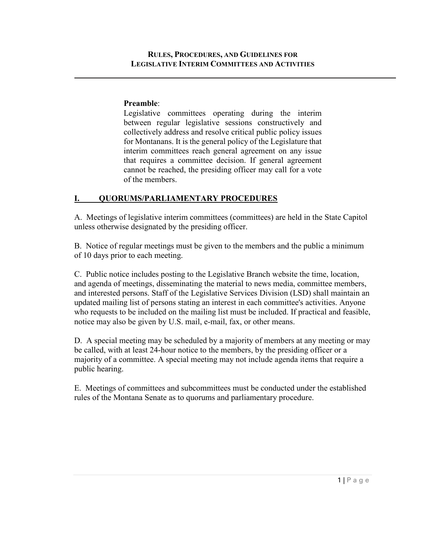#### **Preamble**:

Legislative committees operating during the interim between regular legislative sessions constructively and collectively address and resolve critical public policy issues for Montanans. It is the general policy of the Legislature that interim committees reach general agreement on any issue that requires a committee decision. If general agreement cannot be reached, the presiding officer may call for a vote of the members.

#### **I. QUORUMS/PARLIAMENTARY PROCEDURES**

A. Meetings of legislative interim committees (committees) are held in the State Capitol unless otherwise designated by the presiding officer.

B. Notice of regular meetings must be given to the members and the public a minimum of 10 days prior to each meeting.

C. Public notice includes posting to the Legislative Branch website the time, location, and agenda of meetings, disseminating the material to news media, committee members, and interested persons. Staff of the Legislative Services Division (LSD) shall maintain an updated mailing list of persons stating an interest in each committee's activities. Anyone who requests to be included on the mailing list must be included. If practical and feasible, notice may also be given by U.S. mail, e-mail, fax, or other means.

D. A special meeting may be scheduled by a majority of members at any meeting or may be called, with at least 24-hour notice to the members, by the presiding officer or a majority of a committee. A special meeting may not include agenda items that require a public hearing.

E. Meetings of committees and subcommittees must be conducted under the established rules of the Montana Senate as to quorums and parliamentary procedure.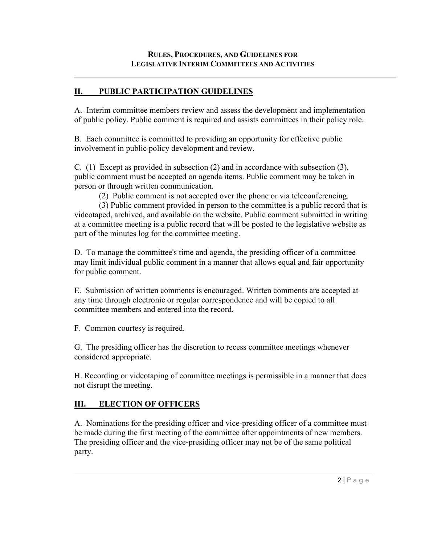## **II. PUBLIC PARTICIPATION GUIDELINES**

A. Interim committee members review and assess the development and implementation of public policy. Public comment is required and assists committees in their policy role.

B. Each committee is committed to providing an opportunity for effective public involvement in public policy development and review.

C. (1) Except as provided in subsection (2) and in accordance with subsection (3), public comment must be accepted on agenda items. Public comment may be taken in person or through written communication.

(2) Public comment is not accepted over the phone or via teleconferencing.

(3) Public comment provided in person to the committee is a public record that is videotaped, archived, and available on the website. Public comment submitted in writing at a committee meeting is a public record that will be posted to the legislative website as part of the minutes log for the committee meeting.

D. To manage the committee's time and agenda, the presiding officer of a committee may limit individual public comment in a manner that allows equal and fair opportunity for public comment.

E. Submission of written comments is encouraged. Written comments are accepted at any time through electronic or regular correspondence and will be copied to all committee members and entered into the record.

F. Common courtesy is required.

G. The presiding officer has the discretion to recess committee meetings whenever considered appropriate.

H. Recording or videotaping of committee meetings is permissible in a manner that does not disrupt the meeting.

# **III. ELECTION OF OFFICERS**

A. Nominations for the presiding officer and vice-presiding officer of a committee must be made during the first meeting of the committee after appointments of new members. The presiding officer and the vice-presiding officer may not be of the same political party.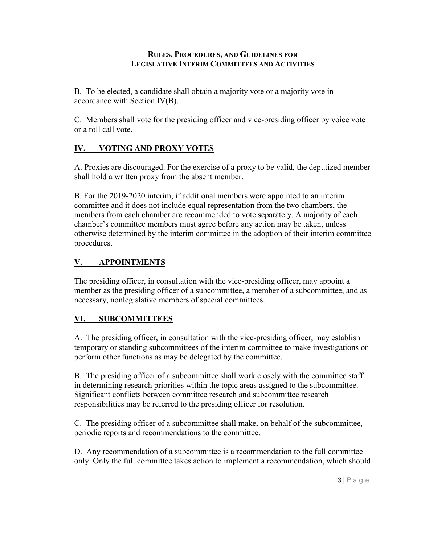B. To be elected, a candidate shall obtain a majority vote or a majority vote in accordance with Section IV(B).

C. Members shall vote for the presiding officer and vice-presiding officer by voice vote or a roll call vote.

# **IV. VOTING AND PROXY VOTES**

A. Proxies are discouraged. For the exercise of a proxy to be valid, the deputized member shall hold a written proxy from the absent member.

B. For the 2019-2020 interim, if additional members were appointed to an interim committee and it does not include equal representation from the two chambers, the members from each chamber are recommended to vote separately. A majority of each chamber's committee members must agree before any action may be taken, unless otherwise determined by the interim committee in the adoption of their interim committee procedures.

## **V. APPOINTMENTS**

The presiding officer, in consultation with the vice-presiding officer, may appoint a member as the presiding officer of a subcommittee, a member of a subcommittee, and as necessary, nonlegislative members of special committees.

## **VI. SUBCOMMITTEES**

A. The presiding officer, in consultation with the vice-presiding officer, may establish temporary or standing subcommittees of the interim committee to make investigations or perform other functions as may be delegated by the committee.

B. The presiding officer of a subcommittee shall work closely with the committee staff in determining research priorities within the topic areas assigned to the subcommittee. Significant conflicts between committee research and subcommittee research responsibilities may be referred to the presiding officer for resolution.

C. The presiding officer of a subcommittee shall make, on behalf of the subcommittee, periodic reports and recommendations to the committee.

D. Any recommendation of a subcommittee is a recommendation to the full committee only. Only the full committee takes action to implement a recommendation, which should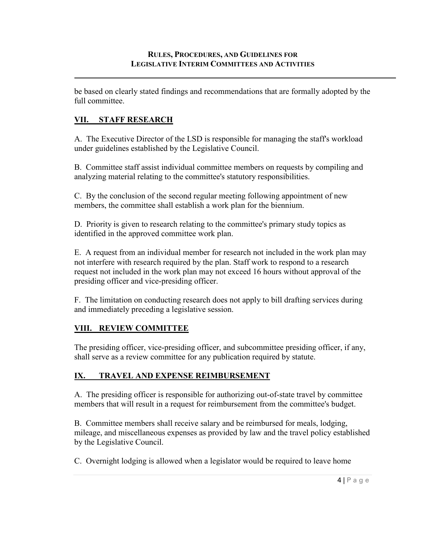be based on clearly stated findings and recommendations that are formally adopted by the full committee.

# **VII. STAFF RESEARCH**

A. The Executive Director of the LSD is responsible for managing the staff's workload under guidelines established by the Legislative Council.

B. Committee staff assist individual committee members on requests by compiling and analyzing material relating to the committee's statutory responsibilities.

C. By the conclusion of the second regular meeting following appointment of new members, the committee shall establish a work plan for the biennium.

D. Priority is given to research relating to the committee's primary study topics as identified in the approved committee work plan.

E. A request from an individual member for research not included in the work plan may not interfere with research required by the plan. Staff work to respond to a research request not included in the work plan may not exceed 16 hours without approval of the presiding officer and vice-presiding officer.

F. The limitation on conducting research does not apply to bill drafting services during and immediately preceding a legislative session.

## **VIII. REVIEW COMMITTEE**

The presiding officer, vice-presiding officer, and subcommittee presiding officer, if any, shall serve as a review committee for any publication required by statute.

# **IX. TRAVEL AND EXPENSE REIMBURSEMENT**

A. The presiding officer is responsible for authorizing out-of-state travel by committee members that will result in a request for reimbursement from the committee's budget.

B. Committee members shall receive salary and be reimbursed for meals, lodging, mileage, and miscellaneous expenses as provided by law and the travel policy established by the Legislative Council.

C. Overnight lodging is allowed when a legislator would be required to leave home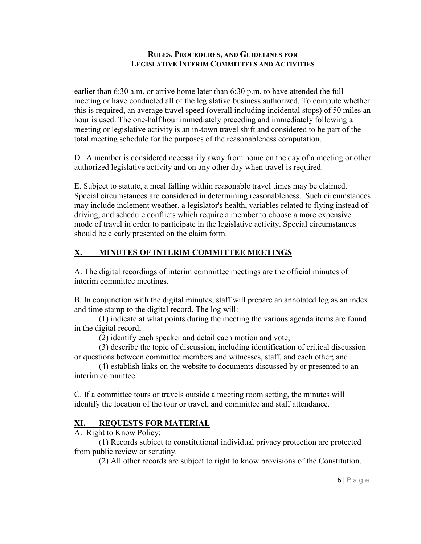#### **RULES, PROCEDURES, AND GUIDELINES FOR LEGISLATIVE INTERIM COMMITTEES AND ACTIVITIES**

earlier than 6:30 a.m. or arrive home later than 6:30 p.m. to have attended the full meeting or have conducted all of the legislative business authorized. To compute whether this is required, an average travel speed (overall including incidental stops) of 50 miles an hour is used. The one-half hour immediately preceding and immediately following a meeting or legislative activity is an in-town travel shift and considered to be part of the total meeting schedule for the purposes of the reasonableness computation.

D. A member is considered necessarily away from home on the day of a meeting or other authorized legislative activity and on any other day when travel is required.

E. Subject to statute, a meal falling within reasonable travel times may be claimed. Special circumstances are considered in determining reasonableness. Such circumstances may include inclement weather, a legislator's health, variables related to flying instead of driving, and schedule conflicts which require a member to choose a more expensive mode of travel in order to participate in the legislative activity. Special circumstances should be clearly presented on the claim form.

#### **X. MINUTES OF INTERIM COMMITTEE MEETINGS**

A. The digital recordings of interim committee meetings are the official minutes of interim committee meetings.

B. In conjunction with the digital minutes, staff will prepare an annotated log as an index and time stamp to the digital record. The log will:

(1) indicate at what points during the meeting the various agenda items are found in the digital record;

(2) identify each speaker and detail each motion and vote;

(3) describe the topic of discussion, including identification of critical discussion or questions between committee members and witnesses, staff, and each other; and

(4) establish links on the website to documents discussed by or presented to an interim committee.

C. If a committee tours or travels outside a meeting room setting, the minutes will identify the location of the tour or travel, and committee and staff attendance.

#### **XI. REQUESTS FOR MATERIAL**

A. Right to Know Policy:

(1) Records subject to constitutional individual privacy protection are protected from public review or scrutiny.

(2) All other records are subject to right to know provisions of the Constitution.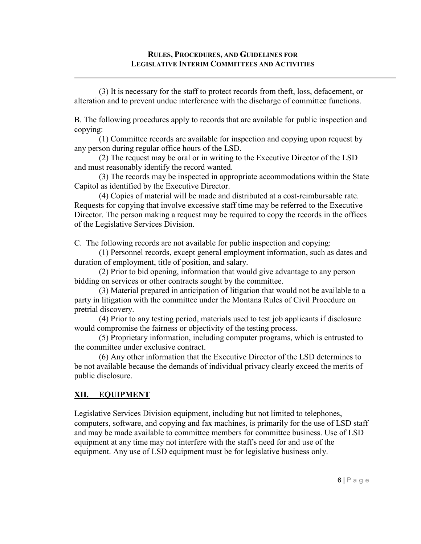(3) It is necessary for the staff to protect records from theft, loss, defacement, or alteration and to prevent undue interference with the discharge of committee functions.

B. The following procedures apply to records that are available for public inspection and copying:

(1) Committee records are available for inspection and copying upon request by any person during regular office hours of the LSD.

(2) The request may be oral or in writing to the Executive Director of the LSD and must reasonably identify the record wanted.

(3) The records may be inspected in appropriate accommodations within the State Capitol as identified by the Executive Director.

(4) Copies of material will be made and distributed at a cost-reimbursable rate. Requests for copying that involve excessive staff time may be referred to the Executive Director. The person making a request may be required to copy the records in the offices of the Legislative Services Division.

C. The following records are not available for public inspection and copying:

(1) Personnel records, except general employment information, such as dates and duration of employment, title of position, and salary.

(2) Prior to bid opening, information that would give advantage to any person bidding on services or other contracts sought by the committee.

(3) Material prepared in anticipation of litigation that would not be available to a party in litigation with the committee under the Montana Rules of Civil Procedure on pretrial discovery.

(4) Prior to any testing period, materials used to test job applicants if disclosure would compromise the fairness or objectivity of the testing process.

(5) Proprietary information, including computer programs, which is entrusted to the committee under exclusive contract.

(6) Any other information that the Executive Director of the LSD determines to be not available because the demands of individual privacy clearly exceed the merits of public disclosure.

## **XII. EQUIPMENT**

Legislative Services Division equipment, including but not limited to telephones, computers, software, and copying and fax machines, is primarily for the use of LSD staff and may be made available to committee members for committee business. Use of LSD equipment at any time may not interfere with the staff's need for and use of the equipment. Any use of LSD equipment must be for legislative business only.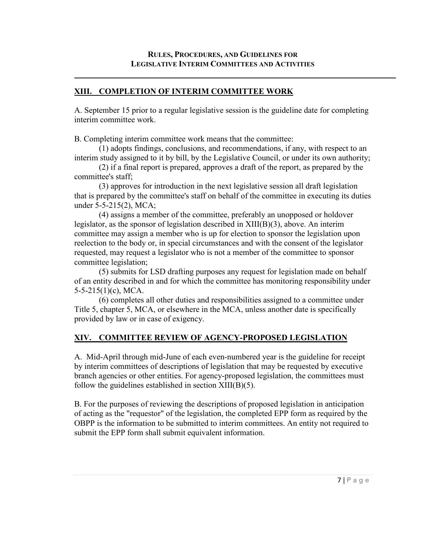#### **XIII. COMPLETION OF INTERIM COMMITTEE WORK**

A. September 15 prior to a regular legislative session is the guideline date for completing interim committee work.

B. Completing interim committee work means that the committee:

(1) adopts findings, conclusions, and recommendations, if any, with respect to an interim study assigned to it by bill, by the Legislative Council, or under its own authority;

(2) if a final report is prepared, approves a draft of the report, as prepared by the committee's staff;

(3) approves for introduction in the next legislative session all draft legislation that is prepared by the committee's staff on behalf of the committee in executing its duties under 5-5-215(2), MCA;

(4) assigns a member of the committee, preferably an unopposed or holdover legislator, as the sponsor of legislation described in XIII(B)(3), above. An interim committee may assign a member who is up for election to sponsor the legislation upon reelection to the body or, in special circumstances and with the consent of the legislator requested, may request a legislator who is not a member of the committee to sponsor committee legislation;

(5) submits for LSD drafting purposes any request for legislation made on behalf of an entity described in and for which the committee has monitoring responsibility under 5-5-215(1)(c), MCA.

(6) completes all other duties and responsibilities assigned to a committee under Title 5, chapter 5, MCA, or elsewhere in the MCA, unless another date is specifically provided by law or in case of exigency.

## **XIV. COMMITTEE REVIEW OF AGENCY-PROPOSED LEGISLATION**

A. Mid-April through mid-June of each even-numbered year is the guideline for receipt by interim committees of descriptions of legislation that may be requested by executive branch agencies or other entities. For agency-proposed legislation, the committees must follow the guidelines established in section  $XIII(B)(5)$ .

B. For the purposes of reviewing the descriptions of proposed legislation in anticipation of acting as the "requestor" of the legislation, the completed EPP form as required by the OBPP is the information to be submitted to interim committees. An entity not required to submit the EPP form shall submit equivalent information.